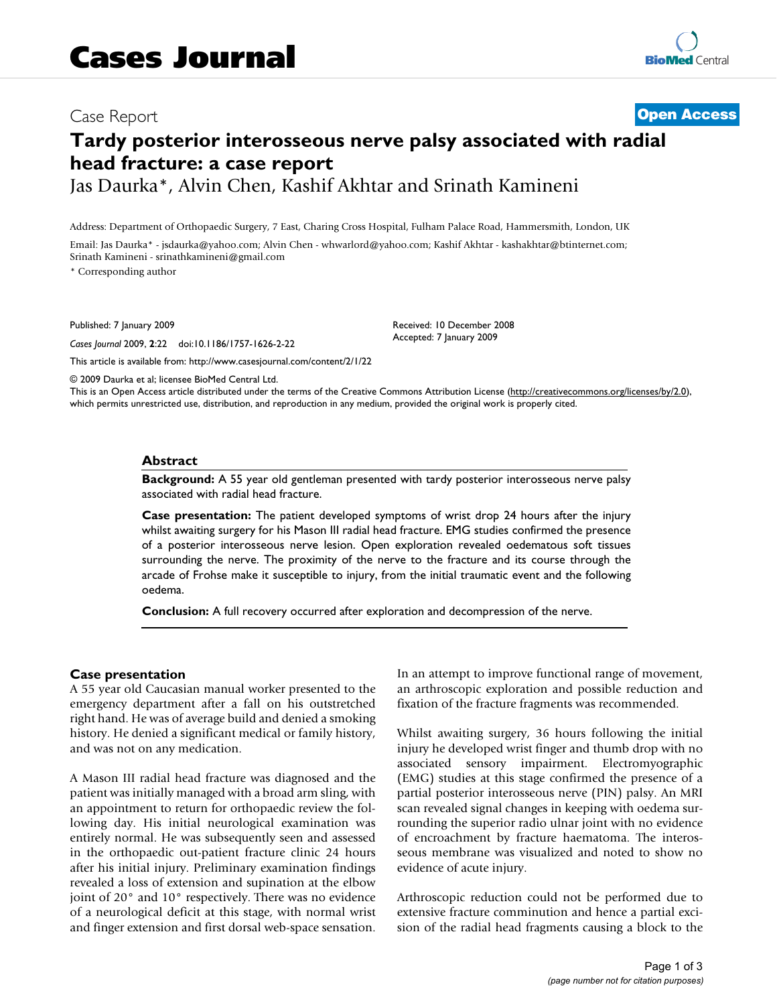# Case Report **[Open Access](http://www.biomedcentral.com/info/about/charter/)**

# **Tardy posterior interosseous nerve palsy associated with radial head fracture: a case report** Jas Daurka\*, Alvin Chen, Kashif Akhtar and Srinath Kamineni

Address: Department of Orthopaedic Surgery, 7 East, Charing Cross Hospital, Fulham Palace Road, Hammersmith, London, UK

Email: Jas Daurka\* - jsdaurka@yahoo.com; Alvin Chen - whwarlord@yahoo.com; Kashif Akhtar - kashakhtar@btinternet.com; Srinath Kamineni - srinathkamineni@gmail.com

\* Corresponding author

Published: 7 January 2009

*Cases Journal* 2009, **2**:22 doi:10.1186/1757-1626-2-22

[This article is available from: http://www.casesjournal.com/content/2/1/22](http://www.casesjournal.com/content/2/1/22)

Received: 10 December 2008 Accepted: 7 January 2009

© 2009 Daurka et al; licensee BioMed Central Ltd.

This is an Open Access article distributed under the terms of the Creative Commons Attribution License [\(http://creativecommons.org/licenses/by/2.0\)](http://creativecommons.org/licenses/by/2.0), which permits unrestricted use, distribution, and reproduction in any medium, provided the original work is properly cited.

### **Abstract**

**Background:** A 55 year old gentleman presented with tardy posterior interosseous nerve palsy associated with radial head fracture.

**Case presentation:** The patient developed symptoms of wrist drop 24 hours after the injury whilst awaiting surgery for his Mason III radial head fracture. EMG studies confirmed the presence of a posterior interosseous nerve lesion. Open exploration revealed oedematous soft tissues surrounding the nerve. The proximity of the nerve to the fracture and its course through the arcade of Frohse make it susceptible to injury, from the initial traumatic event and the following oedema.

**Conclusion:** A full recovery occurred after exploration and decompression of the nerve.

### **Case presentation**

A 55 year old Caucasian manual worker presented to the emergency department after a fall on his outstretched right hand. He was of average build and denied a smoking history. He denied a significant medical or family history, and was not on any medication.

A Mason III radial head fracture was diagnosed and the patient was initially managed with a broad arm sling, with an appointment to return for orthopaedic review the following day. His initial neurological examination was entirely normal. He was subsequently seen and assessed in the orthopaedic out-patient fracture clinic 24 hours after his initial injury. Preliminary examination findings revealed a loss of extension and supination at the elbow joint of 20° and 10° respectively. There was no evidence of a neurological deficit at this stage, with normal wrist and finger extension and first dorsal web-space sensation. In an attempt to improve functional range of movement, an arthroscopic exploration and possible reduction and fixation of the fracture fragments was recommended.

Whilst awaiting surgery, 36 hours following the initial injury he developed wrist finger and thumb drop with no associated sensory impairment. Electromyographic (EMG) studies at this stage confirmed the presence of a partial posterior interosseous nerve (PIN) palsy. An MRI scan revealed signal changes in keeping with oedema surrounding the superior radio ulnar joint with no evidence of encroachment by fracture haematoma. The interosseous membrane was visualized and noted to show no evidence of acute injury.

Arthroscopic reduction could not be performed due to extensive fracture comminution and hence a partial excision of the radial head fragments causing a block to the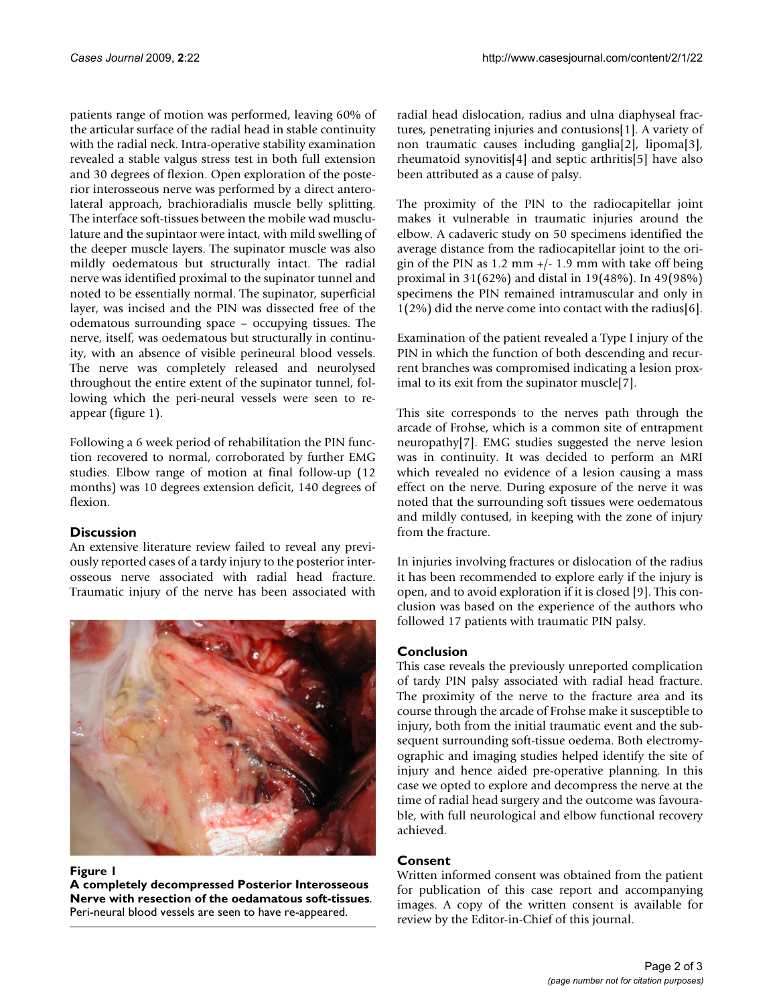patients range of motion was performed, leaving 60% of the articular surface of the radial head in stable continuity with the radial neck. Intra-operative stability examination revealed a stable valgus stress test in both full extension and 30 degrees of flexion. Open exploration of the posterior interosseous nerve was performed by a direct anterolateral approach, brachioradialis muscle belly splitting. The interface soft-tissues between the mobile wad musclulature and the supintaor were intact, with mild swelling of the deeper muscle layers. The supinator muscle was also mildly oedematous but structurally intact. The radial nerve was identified proximal to the supinator tunnel and noted to be essentially normal. The supinator, superficial layer, was incised and the PIN was dissected free of the odematous surrounding space – occupying tissues. The nerve, itself, was oedematous but structurally in continuity, with an absence of visible perineural blood vessels. The nerve was completely released and neurolysed throughout the entire extent of the supinator tunnel, following which the peri-neural vessels were seen to reappear (figure [1](#page-1-0)).

Following a 6 week period of rehabilitation the PIN function recovered to normal, corroborated by further EMG studies. Elbow range of motion at final follow-up (12 months) was 10 degrees extension deficit, 140 degrees of flexion.

# **Discussion**

An extensive literature review failed to reveal any previously reported cases of a tardy injury to the posterior interosseous nerve associated with radial head fracture. Traumatic injury of the nerve has been associated with

<span id="page-1-0"></span>

### Figure 1

**A completely decompressed Posterior Interosseous Nerve with resection of the oedamatous soft-tissues**. Peri-neural blood vessels are seen to have re-appeared.

radial head dislocation, radius and ulna diaphyseal fractures, penetrating injuries and contusions[[1](#page-2-0)]. A variety of non traumatic causes including ganglia[\[2\]](#page-2-1), lipoma[[3](#page-2-2)], rheumatoid synovitis[[4](#page-2-3)] and septic arthritis[[5](#page-2-4)] have also been attributed as a cause of palsy.

The proximity of the PIN to the radiocapitellar joint makes it vulnerable in traumatic injuries around the elbow. A cadaveric study on 50 specimens identified the average distance from the radiocapitellar joint to the origin of the PIN as  $1.2 \text{ mm} +/- 1.9 \text{ mm}$  with take off being proximal in 31(62%) and distal in 19(48%). In 49(98%) specimens the PIN remained intramuscular and only in 1(2%) did the nerve come into contact with the radius[[6](#page-2-5)].

Examination of the patient revealed a Type I injury of the PIN in which the function of both descending and recurrent branches was compromised indicating a lesion proximal to its exit from the supinator muscle[[7](#page-2-6)].

This site corresponds to the nerves path through the arcade of Frohse, which is a common site of entrapment neuropathy[\[7\]](#page-2-6). EMG studies suggested the nerve lesion was in continuity. It was decided to perform an MRI which revealed no evidence of a lesion causing a mass effect on the nerve. During exposure of the nerve it was noted that the surrounding soft tissues were oedematous and mildly contused, in keeping with the zone of injury from the fracture.

In injuries involving fractures or dislocation of the radius it has been recommended to explore early if the injury is open, and to avoid exploration if it is closed [\[9](#page-2-7)]. This conclusion was based on the experience of the authors who followed 17 patients with traumatic PIN palsy.

# **Conclusion**

This case reveals the previously unreported complication of tardy PIN palsy associated with radial head fracture. The proximity of the nerve to the fracture area and its course through the arcade of Frohse make it susceptible to injury, both from the initial traumatic event and the subsequent surrounding soft-tissue oedema. Both electromyographic and imaging studies helped identify the site of injury and hence aided pre-operative planning. In this case we opted to explore and decompress the nerve at the time of radial head surgery and the outcome was favourable, with full neurological and elbow functional recovery achieved.

# **Consent**

Written informed consent was obtained from the patient for publication of this case report and accompanying images. A copy of the written consent is available for review by the Editor-in-Chief of this journal.